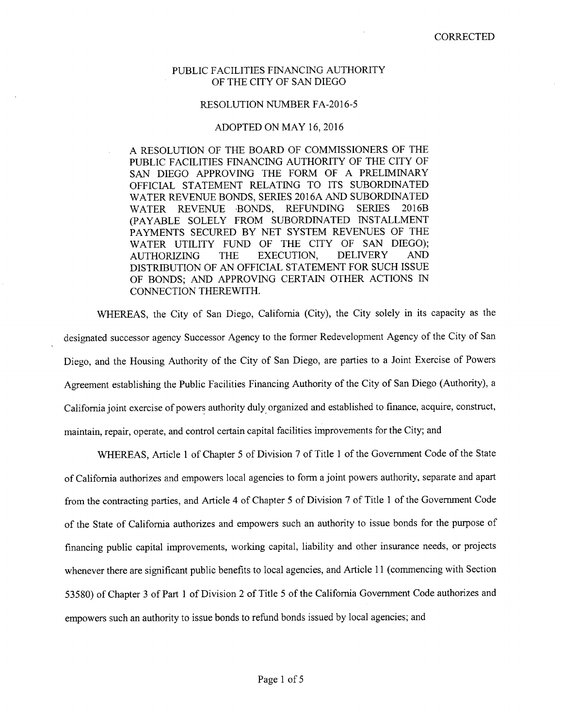## PUBLIC FACILITIES FINANCING AUTHORITY OF THE CITY OF SAN DIEGO

## RESOLUTION NUMBER FA-2016-5

## ADOPTED ON MAY 16, 2016

A RESOLUTION OF THE BOARD OF COMMISSIONERS OF THE PUBLIC FACILITIES FINANCING AUTHORITY OF THE CITY OF SAN DIEGO APPROVING THE FORM OF A PRELIMINARY OFFICIAL STATEMENT RELATING TO ITS SUBORDINATED WATER REVENUE BONDS, SERIES 2016A AND SUBORDINATED<br>WATER REVENUE BONDS. REFUNDING SERIES 2016B WATER REVENUE BONDS, REFUNDING (PAYABLE SOLELY FROM SUBORDINATED INSTALLMENT PAYMENTS SECURED BY NET SYSTEM REVENUES OF THE WATER UTILITY FUND OF THE CITY OF SAN DIEGO);<br>AUTHORIZING THE EXECUTION, DELIVERY AND AUTHORIZING THE EXECUTION, DELIVERY AND DISTRIBUTION OF AN OFFICIAL STATEMENT FOR SUCH ISSUE OF BONDS; AND APPROVING CERTAIN OTHER ACTIONS IN CONNECTION THEREWITH.

WHEREAS, the City of San Diego, California (City), the City solely in its capacity as the designated successor agency Successor Agency to the former Redevelopment Agency of the City of San Diego, and the Housing Authority of the City of San Diego, are parties to a Joint Exercise of Powers Agreement establishing the Public Facilities Financing Authority of the City of San Diego (Authority), a California joint exercise of powers authority duly organized and established to finance, acquire, construct, maintain, repair, operate, and control certain capital facilities improvements for the City; and

WHEREAS, Article 1 of Chapter 5 of Division 7 of Title 1 of the Government Code of the State of California authorizes and empowers local agencies to form a joint powers authority, separate and apart from the contracting parties, and Article 4 of Chapter 5 of Division 7 of Title 1 of the Government Code of the State of California authorizes and empowers such an authority to issue bonds for the purpose of financing public capital improvements, working capital, liability and other insurance needs, or projects whenever there are significant public benefits to local agencies, and Article 11 (commencing with Section 53580) of Chapter 3 of Part 1 of Division 2 of Title 5 of the California Government Code authorizes and empowers such an authority to issue bonds to refund bonds issued by local agencies; and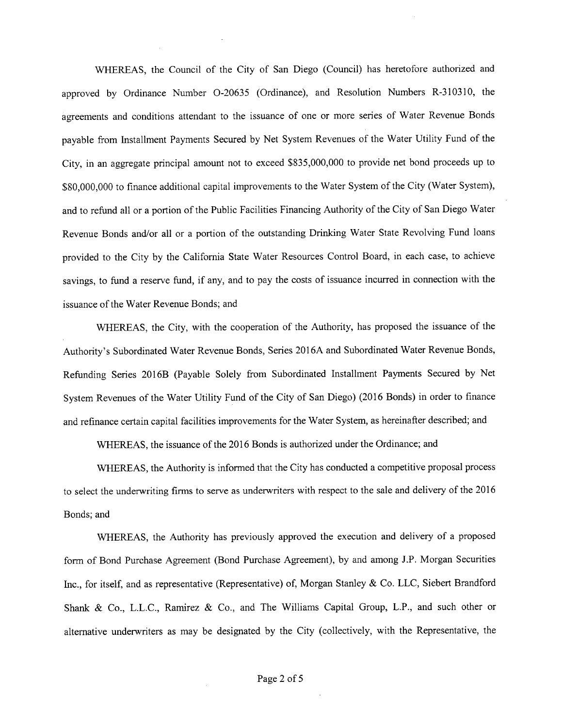WHEREAS, the Council of the City of San Diego (Council) has heretofore authorized and approved by Ordinance Number 0-20635 (Ordinance), and Resolution Numbers R-310310, the agreements and conditions attendant to the issuance of one or more series of Water Revenue Bonds payable from Installment Payments Secured by Net System Revenues of the Water Utility Fund of the City, in an aggregate principal amount not to exceed \$835,000,000 to provide net bond proceeds up to \$80,000,000 to finance additional capital improvements to the Water System of the City (Water System), and to refund all or a portion of the Public Facilities Financing Authority of the City of San Diego Water Revenue Bonds and/or all or a portion of the outstanding Drinking Water State Revolving Fund loans provided to the City by the California State Water Resources Control Board, in each case, to achieve savings, to fund a reserve fund, if any, and to pay the costs of issuance incurred in connection with the issuance of the Water Revenue Bonds; and

WHEREAS, the City, with the cooperation of the Authority, has proposed the issuance of the Authority's Subordinated Water Revenue Bonds, Series 2016A and Subordinated Water Revenue Bonds, Refunding Series 2016B (Payable Solely from Subordinated Installment Payments Secured by Net System Revenues of the Water Utility Fund of the City of San Diego) (2016 Bonds) in order to finance and refinance certain capital facilities improvements for the Water System, as hereinafter described; and

WHEREAS, the issuance of the 2016 Bonds is authorized under the Ordinance; and

WHEREAS, the Authority is informed that the City has conducted a competitive proposal process to select the underwriting firms to serve as underwriters with respect to the sale and delivery of the 2016 Bonds; and

WHEREAS, the Authority has previously approved the execution and delivery of a proposed form of Bond Purchase Agreement (Bond Purchase Agreement), by and among J.P. Morgan Securities Inc., for itself, and as representative (Representative) of, Morgan Stanley & Co. LLC, Siebert Brandford Shank & Co., E.E.C., Ramirez & Co., and The Williams Capital Group, E.P., and such other or alternative underwriters as may be designated by the City (collectively, with the Representative, the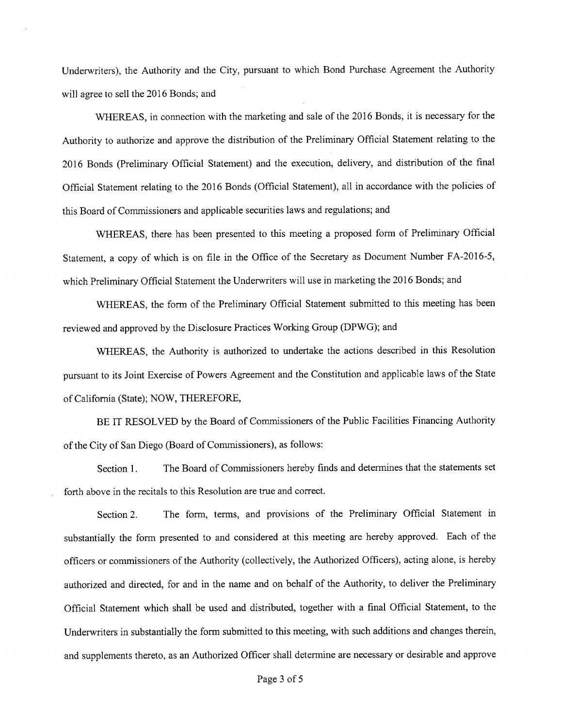Underwriters), the Authority and the City, pursuant to which Bond Purchase Agreement the Authority will agree to sell the 2016 Bonds; and

WHEREAS, in connection with the marketing and sale of the 2016 Bonds, it is necessary for the Authority to authorize and approve the distribution of the Preliminary Official Statement relating to the 2016 Bonds (Preliminary Official Statement) and the execution, delivery, and distribution of the final Official Statement relating to the 2016 Bonds (Official Statement), all in accordance with the policies of this Board of Commissioners and applicable securities laws and regulations; and

WHEREAS, there has been presented to this meeting a proposed form of Preliminary Official Statement, a copy of which is on file in the Office of the Secretary as Document Number FA-2016-5, which Preliminary Official Statement the Underwriters will use in marketing the 2016 Bonds; and

WHEREAS, the form of the Preliminary Official Statement submitted to this meeting has been reviewed and approved by the Disclosure Practices Working Group (DPWG); and

WHEREAS, the Authority is authorized to undertake the actions described in this Resolution pursuant to its Joint Exercise of Powers Agreement and the Constitution and applicable laws of the State of California (State); NOW, THEREFORE,

BE IT RESOLVED by the Board of Commissioners of the Public Facilities Financing Authority of the City of San Diego (Board of Commissioners), as follows:

Section 1. The Board of Commissioners hereby finds and determines that the statements set forth above in the recitals to this Resolution are true and correct.

Section 2. The form, terms, and provisions of the Preliminary Official Statement in substantially the form presented to and considered at this meeting are hereby approved. Each of the officers or commissioners of the Authority (collectively, the Authorized Officers), acting alone, is hereby authorized and directed, for and in the name and on behalf of the Authority, to deliver the Preliminary Official Statement which shall be used and distributed, together with a final Official Statement, to the Underwriters in substantially the form submitted to this meeting, with such additions and changes therein, and supplements thereto, as an Authorized Officer shall determine are necessary or desirable and approve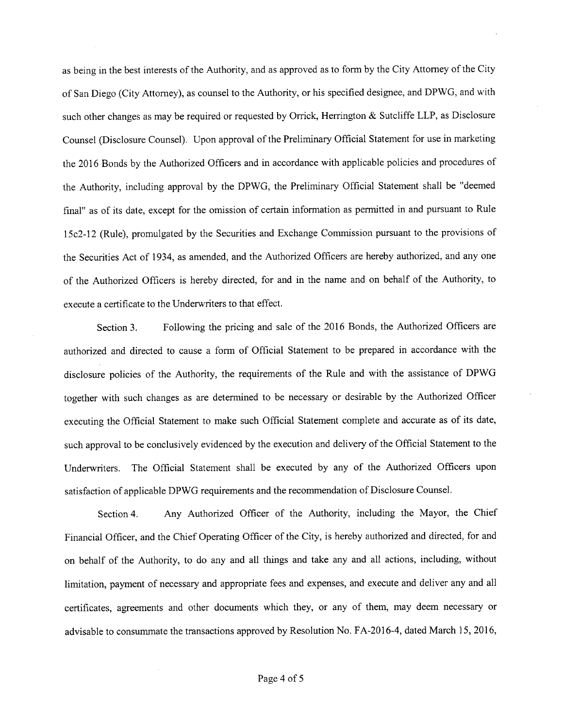as being in the best interests of the Authority, and as approved as to form by the City Attorney of the City of San Diego (City Attorney), as counsel to the Authority, or his specified designee, and DPWG, and with such other changes as may be required or requested by Orrick, Herrington & Sutcliffe LLP, as Disclosure Counsel (Disclosure Counsel). Upon approval of the Preliminary Official Statement for use in marketing the 2016 Bonds by the Authorized Officers and in accordance with applicable policies and procedures of the Authority, including approval by the DPWG, the Preliminary Official Statement shall be "deemed final" as of its date, except for the omission of certain information as permitted in and pursuant to Rule 15c2-12 (Rule), promulgated by the Securities and Exchange Commission pursuant to the provisions of the Securities Act of 1934, as amended, and the Authorized Officers are hereby authorized, and any one of the Authorized Officers is hereby directed, for and in the name and on behalf of the Authority, to execute a certificate to the Underwriters to that effect.

Section 3. Following the pricing and sale of the 2016 Bonds, the Authorized Officers are authorized and directed to cause a form of Official Statement to be prepared in accordance with the disclosure policies of the Authority, the requirements of the Rule and with the assistance of DPWG together with such changes as are determined to be necessary or desirable by the Authorized Officer executing the Official Statement to make such Official Statement complete and accurate as of its date, such approval to be conclusively evidenced by the execution and delivery of the Official Statement to the Underwriters. The Official Statement shall be executed by any of the Authorized Officers upon satisfaction of applicable DPWG requirements and the recommendation of Disclosure Counsel.

Section 4. Any Authorized Officer of the Authority, including the Mayor, the Chief Financial Officer, and the Chief Operating Officer of the City, is hereby authorized and directed, for and on behalf of the Authority, to do any and all things and take any and all actions, including, without limitation, payment of necessary and appropriate fees and expenses, and execute and deliver any and all certificates, agreements and other documents which they, or any of them, may deem necessary or advisable to consummate the transactions approved by Resolution No. FA-2016-4, dated March 15, 2016,